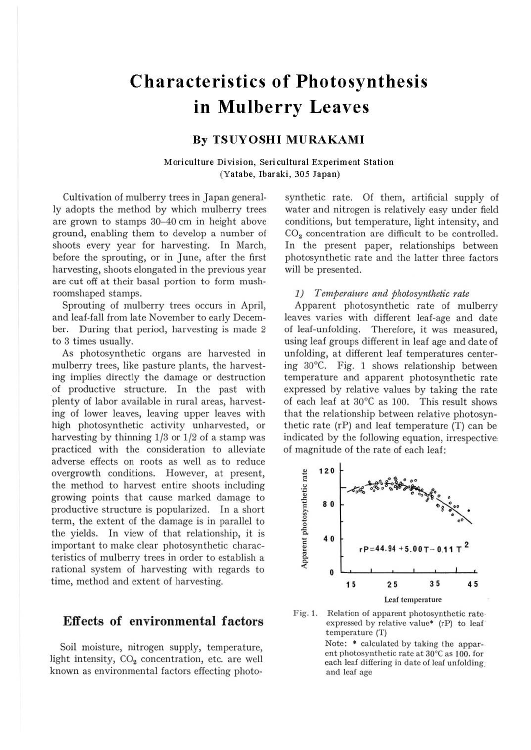# **Characteristics of Photosynthesis in Mulberry Leaves**

## **By TSUYOSHI MURAKAMI**

### **Moriculture Division, Sericultural Experiment Station (Yatabe, Ibaraki, 305 Japan)**

Cultivation of mulberry trees in Japan generally adopts the method by which mulberry trees are grown to stamps 30-40 cm in height above ground, enabling them to develop a number of shoots every year for harvesting. In March, before the sprouting, or in June, after the first harvesting, shoots elongated in the previous year are cut off at their basal portion to form mushroomshaped stamps.

Sprouting of mulberry trees occurs in April, and leaf-fall from late November to early December. During that period, harvesting is made 2 to 3 times usually.

As photosynthetic organs are harvested in mulberry trees, like pasture plants, the harvesting implies directly the damage or destruction of productive structure. In the past with plenty of labor available in rural areas, harvesting of lower leaves, leaving upper leaves with high photosynthetic activity unharvested, or harvesting by thinning 1/3 or 1/2 of a stamp was practiced with the consideration to alleviate adverse effects on roots as well as to reduce overgrowth conditions. However, at present, the method to harvest entire shoots including growing points that cause marked damage to productive structure is popularized. In a short term, the extent of the damage is in parallel to the yields. In view of that relationship, it is important to make clear photosynthetic characteristics of mulberry trees in order to establish a rational system of harvesting with regards to time, method and extent of harvesting.

## **Effects of environmental factors**

Soil moisture, nitrogen supply, temperature, light intensity,  $CO<sub>2</sub>$  concentration, etc. are well known as environmental factors effecting photosynthetic rate. Of them, artificial supply of water and nitrogen is relatively easy under field conditions, but temperature, light intensity, and  $CO<sub>2</sub>$  concentration are difficult to be controlled. In the present paper, relationships between photosynthetic rate and the latter three factors will be presented.

#### *1) Temperature and photosynthetic rate*

Apparent photosynthetic rate of mulberry leaves varies with different leaf-age and date of leaf-unfolding. Therefore, it was measured, using leaf groups different in leaf age and date of unfolding, at different leaf temperatures centering 30°C. Fig. 1 shows relationship between temperature and apparent photosynthetic rate expressed by relative values by taking the rate of each leaf at 30°C as 100. This result shows that the relationship between relative photosynthetic rate (rP) and leaf temperature (T) can be indicated by the following equation, irrespective, of magnitude of the rate of each leaf:



Fig. 1. Relation of apparent photosynthetic rate· expressed by relative value\*  $(rP)$  to leaf temperature (T)

> Note: \* calculated by taking the apparent photosynthetic rate at 30°C as 100. for each leaf differing in date of leaf unfolding. and leaf age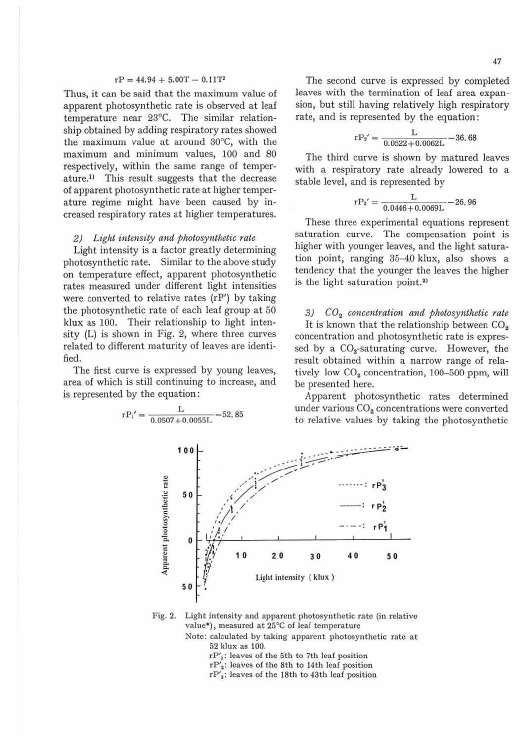#### $rP = 44.94 + 5.00T - 0.11T^2$

Thus, it can be said that the maximum value of .apparent photosynthetic rate is observed at leaf temperature near 23°C. The similar relationship obtained by adding respiratory rates showed the maximum value at around 30°C, with the maximum and minimum values, 100 and 80 respectively, within the same range of temper $ature<sup>11</sup>$  This result suggests that the decrease of apparent photosynthetic rate at higher temperature regime might have been caused by increased respiratory rates at higher temperatures.

#### *2) Light intensity and photosynthetic rate*

Light intensity is a factor greatly determining photosynthetic rate. Similar to the above study on temperature effect, apparent photosynthetic rates measured under different light intensities were converted to relative rates (rP') by taking the photosynthetic rate of each leaf group at 50 klux as 100. Their relationship to light intensity (L) is shown in Fig. 2, where three curves related to different maturity of leaves are identified.

The first curve is expressed by young leaves, area of which is still continuing to increase, and is represented by the equation:

$$
rP_1' = \frac{L}{0.0507 + 0.0055L} - 52.85
$$

The second curve is expressed by completed leaves with the termination of leaf area expansion, but still having relatively high respiratory rate, and is represented by the equation:

$$
rP_2{}'=\frac{L}{0.0522+0.0062L}-36,68
$$

The third curve is shown by matured leaves with a respiratory rate already lowered to a stable level, and is represented by

$$
r{\rm P_3}^\prime=\frac{L}{0.0446+0.0069L}\!-\!26.96
$$

These three experimental equations represent saturation curve. The compensation point is higher with younger leaves, and the light saturation point, ranging 35-40 klux, also shows a tendency that the younger the leaves the higher is the light saturation point.<sup>2)</sup>

3)  $CO<sub>2</sub> concentration and photosynthetic rate$ It is known that the relationship between  $CO<sub>2</sub>$ concentration and photosynthetic rate is expressed by a  $CO<sub>2</sub>$ -saturating curve. However, the result obtained within a narrow range of relatively low  $CO<sub>2</sub>$  concentration, 100-500 ppm, will be presented here.

Apparent photosynthetic rates determined under various  $CO<sub>2</sub>$  concentrations were converted to relative values by taking the photosynthetic



- Note: calculated by taking apparent photosynthetic rate at 52 klux as 100.
	- $rP'_1$ : leaves of the 5th to 7th leaf position
	- $rP_2$ : leaves of the 8th to 14th leaf position
	- $rP'_3$ : leaves of the 18th to 43th leaf position

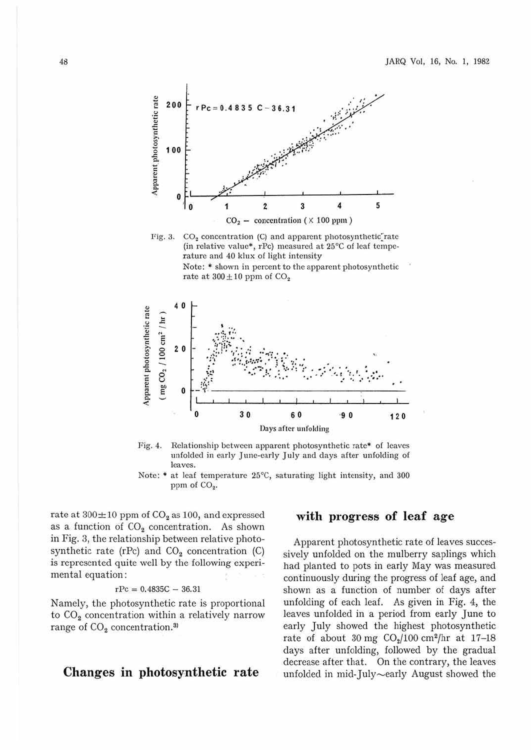

Fig. 3.  $CO<sub>2</sub>$  concentration (C) and apparent photosynthetic rate (in relative value\*, rPc) measured at 25°C of leaf temperature and 40 klux of light intensity Note: • shown in percent to the apparent photosynthetic





Fig. 4. Relationship between apparent photosynthetic rate\* of leaves unfolded in early June-early July and days after unfolding of leaves.

Note: • at leaf temperature 25°C, saturating light intensity, and 300 ppm of  $CO<sub>2</sub>$ .

rate at  $300 \pm 10$  ppm of  $CO<sub>2</sub>$  as 100, and expressed as a function of  $CO<sub>2</sub>$  concentration. As shown in Fig. 3, the relationship between relative photosynthetic rate (rPc) and  $CO<sub>2</sub>$  concentration (C) is represented quite well by the following experimental equation:

$$
rPc = 0.4835C - 36.31
$$

Namely, the photosynthetic rate is proportional to  $CO<sub>2</sub>$  concentration within a relatively narrow range of  $CO<sub>2</sub>$  concentration.<sup>3)</sup>

## **Changes in photosynthetic rate**

## **with progress of leaf age**

Apparent photosynthetic rate of leaves successively unfolded on the mulberry saplings which had planted to pots in early May was measured continuously during the progress of leaf age, and shown as a function of number of days after unfolding of each leaf. As given in Fig.  $4$ , the leaves unfolded in a period from early June to early July showed the highest photosynthetic rate of about 30 mg  $CO<sub>2</sub>/100$  cm<sup>2</sup>/hr at 17-18 days after unfolding, followed by the gradual decrease after that. On the contrary, the leaves unfolded in mid-July-early August showed the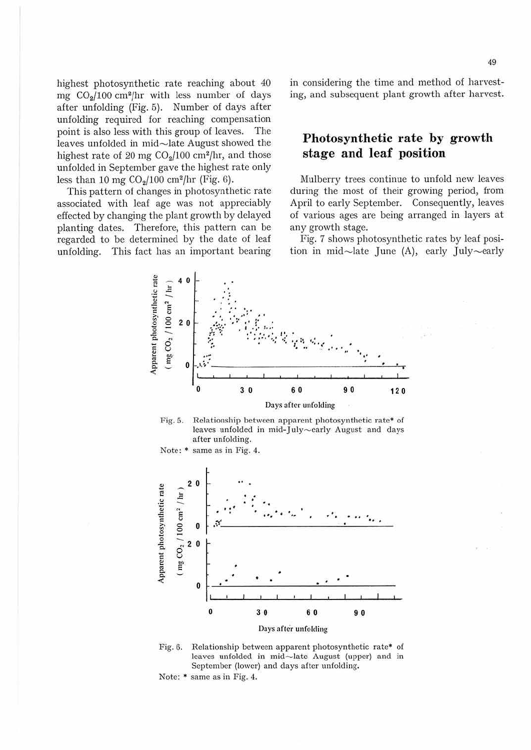highest photosynthetic rate reaching about 40 mg  $CO<sub>2</sub>/100$  cm<sup>2</sup>/hr with less number of days after unfolding (Fig. 5). Number of days after unfolding required for reaching compensation point is also less with this group of leaves. The leaves unfolded in mid-late August showed the highest rate of 20 mg  $CO<sub>2</sub>/100$  cm<sup>2</sup>/hr, and those unfolded in September gave the highest rate only less than 10 mg  $CO<sub>2</sub>/100$  cm<sup>2</sup>/hr (Fig. 6).

This pattern of changes in photosynthetic rate associated with leaf age was not appreciably effected by changing the plant growth by delayed planting dates. Therefore, this pattern can be regarded to be determined by the date of leaf unfolding. This fact has an important bearing in considering the time and method of harvesting, and subsequent plant growth after harvest.

# **Photosynthetic rate by growth stage and leaf position**

Mulberry trees continue to unfold new leaves during the most of their growing period, from April to early September. Consequently, leaves of various ages are being arranged in layers at any growth stage.

Fig. 7 shows photosynthetic rates by leaf position in mid $\sim$ late June (A), early July $\sim$ early





Note: • same as in Fig. 4.